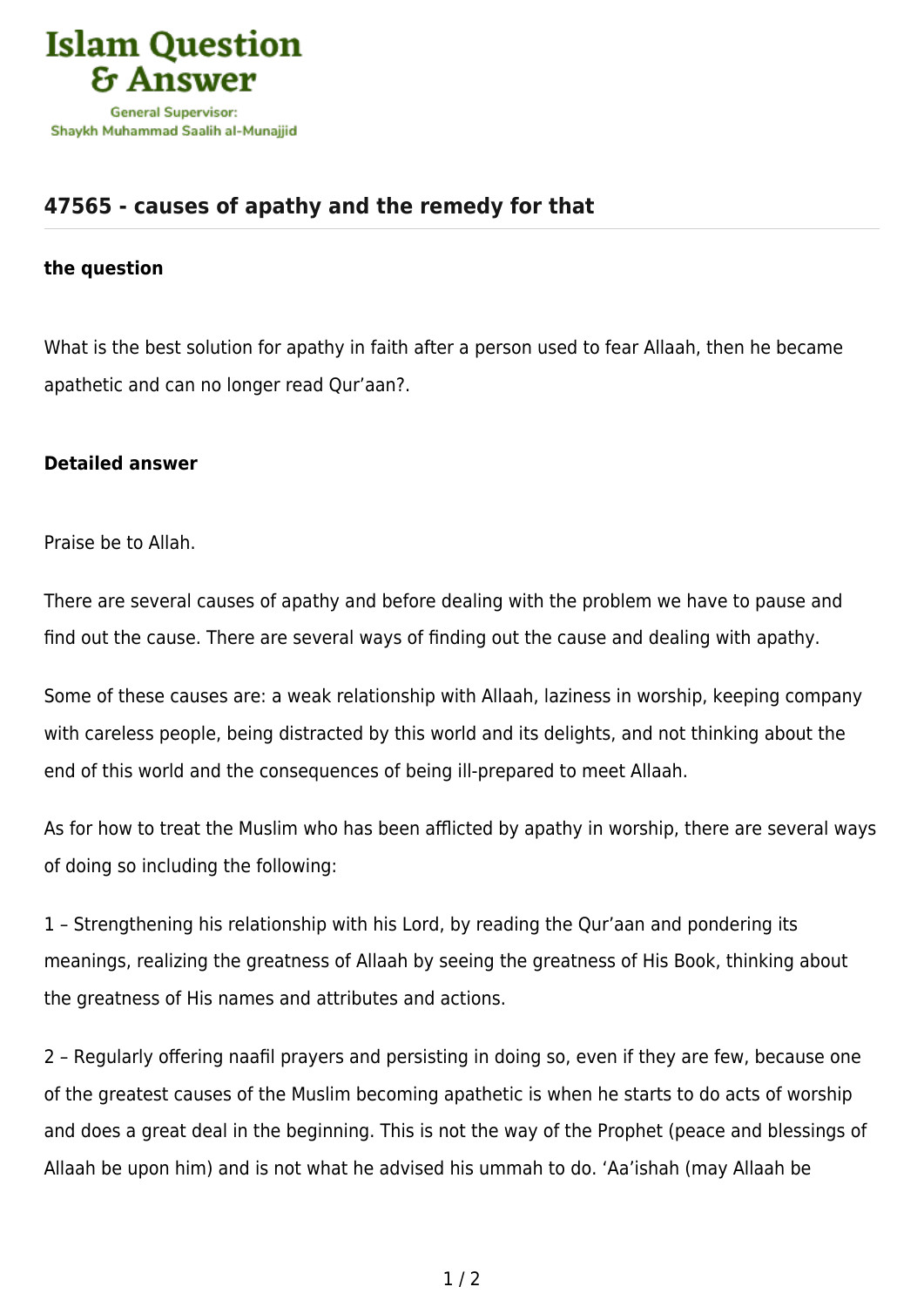

## **[47565 - causes of apathy and the remedy for that](https://islamqa.info/en/answers/47565/causes-of-apathy-and-the-remedy-for-that)**

## **the question**

What is the best solution for apathy in faith after a person used to fear Allaah, then he became apathetic and can no longer read Qur'aan?.

## **Detailed answer**

Praise be to Allah.

There are several causes of apathy and before dealing with the problem we have to pause and find out the cause. There are several ways of finding out the cause and dealing with apathy.

Some of these causes are: a weak relationship with Allaah, laziness in worship, keeping company with careless people, being distracted by this world and its delights, and not thinking about the end of this world and the consequences of being ill-prepared to meet Allaah.

As for how to treat the Muslim who has been afflicted by apathy in worship, there are several ways of doing so including the following:

1 – Strengthening his relationship with his Lord, by reading the Qur'aan and pondering its meanings, realizing the greatness of Allaah by seeing the greatness of His Book, thinking about the greatness of His names and attributes and actions.

2 – Regularly offering naafil prayers and persisting in doing so, even if they are few, because one of the greatest causes of the Muslim becoming apathetic is when he starts to do acts of worship and does a great deal in the beginning. This is not the way of the Prophet (peace and blessings of Allaah be upon him) and is not what he advised his ummah to do. 'Aa'ishah (may Allaah be